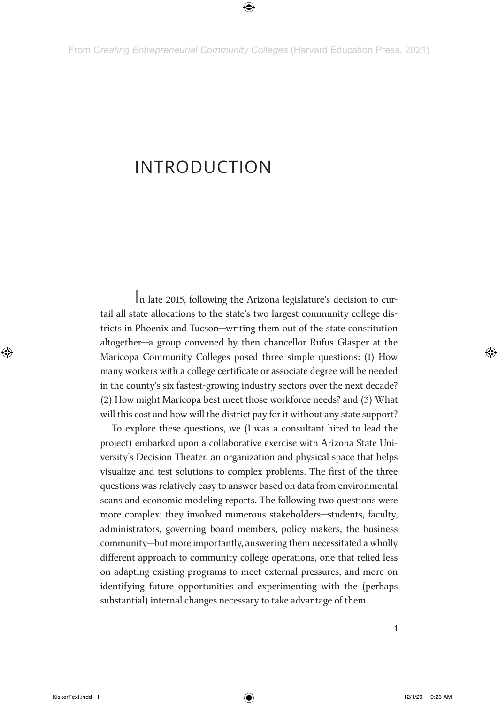# INTRODUCTION

**I**n late 2015, following the Arizona legislature's decision to curtail all state allocations to the state's two largest community college districts in Phoenix and Tucson—writing them out of the state constitution altogether—a group convened by then chancellor Rufus Glasper at the Maricopa Community Colleges posed three simple questions: (1) How many workers with a college certificate or associate degree will be needed in the county's six fastest-growing industry sectors over the next decade? (2) How might Maricopa best meet those workforce needs? and (3) What will this cost and how will the district pay for it without any state support?

To explore these questions, we (I was a consultant hired to lead the project) embarked upon a collaborative exercise with Arizona State University's Decision Theater, an organization and physical space that helps visualize and test solutions to complex problems. The first of the three questions was relatively easy to answer based on data from environmental scans and economic modeling reports. The following two questions were more complex; they involved numerous stakeholders—students, faculty, administrators, governing board members, policy makers, the business community—but more importantly, answering them necessitated a wholly different approach to community college operations, one that relied less on adapting existing programs to meet external pressures, and more on identifying future opportunities and experimenting with the (perhaps substantial) internal changes necessary to take advantage of them.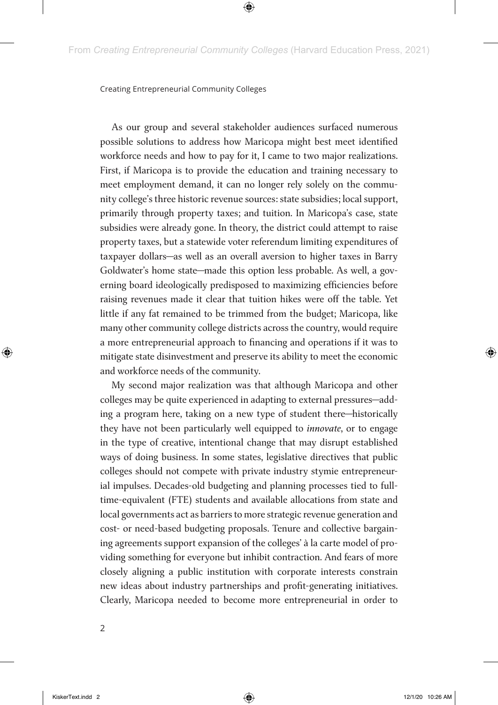As our group and several stakeholder audiences surfaced numerous possible solutions to address how Maricopa might best meet identified workforce needs and how to pay for it, I came to two major realizations. First, if Maricopa is to provide the education and training necessary to meet employment demand, it can no longer rely solely on the community college's three historic revenue sources: state subsidies; local support, primarily through property taxes; and tuition. In Maricopa's case, state subsidies were already gone. In theory, the district could attempt to raise property taxes, but a statewide voter referendum limiting expenditures of taxpayer dollars—as well as an overall aversion to higher taxes in Barry Goldwater's home state—made this option less probable. As well, a governing board ideologically predisposed to maximizing efficiencies before raising revenues made it clear that tuition hikes were off the table. Yet little if any fat remained to be trimmed from the budget; Maricopa, like many other community college districts across the country, would require a more entrepreneurial approach to financing and operations if it was to mitigate state disinvestment and preserve its ability to meet the economic and workforce needs of the community.

My second major realization was that although Maricopa and other colleges may be quite experienced in adapting to external pressures—adding a program here, taking on a new type of student there—historically they have not been particularly well equipped to *innovate*, or to engage in the type of creative, intentional change that may disrupt established ways of doing business. In some states, legislative directives that public colleges should not compete with private industry stymie entrepreneurial impulses. Decades-old budgeting and planning processes tied to fulltime-equivalent (FTE) students and available allocations from state and local governments act as barriers to more strategic revenue generation and cost- or need-based budgeting proposals. Tenure and collective bargaining agreements support expansion of the colleges' à la carte model of providing something for everyone but inhibit contraction. And fears of more closely aligning a public institution with corporate interests constrain new ideas about industry partnerships and profit-generating initiatives. Clearly, Maricopa needed to become more entrepreneurial in order to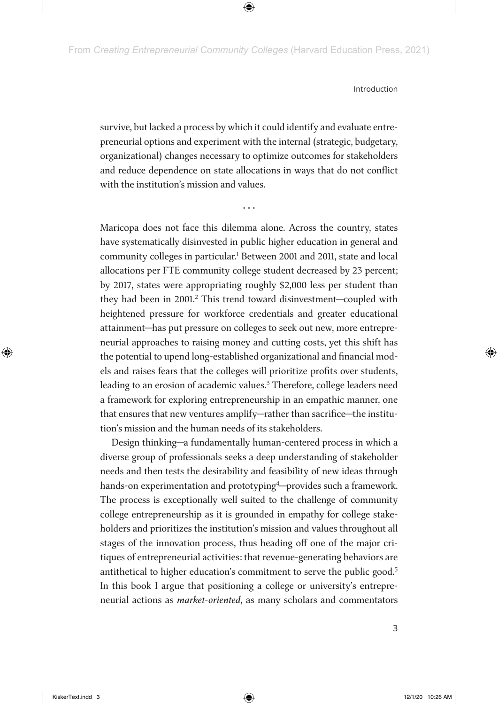survive, but lacked a process by which it could identify and evaluate entrepreneurial options and experiment with the internal (strategic, budgetary, organizational) changes necessary to optimize outcomes for stakeholders and reduce dependence on state allocations in ways that do not conflict with the institution's mission and values.

Maricopa does not face this dilemma alone. Across the country, states have systematically disinvested in public higher education in general and community colleges in particular.<sup>1</sup> Between 2001 and 2011, state and local allocations per FTE community college student decreased by 23 percent; by 2017, states were appropriating roughly \$2,000 less per student than they had been in 2001.<sup>2</sup> This trend toward disinvestment-coupled with heightened pressure for workforce credentials and greater educational attainment—has put pressure on colleges to seek out new, more entrepreneurial approaches to raising money and cutting costs, yet this shift has the potential to upend long-established organizational and financial models and raises fears that the colleges will prioritize profits over students, leading to an erosion of academic values.<sup>3</sup> Therefore, college leaders need a framework for exploring entrepreneurship in an empathic manner, one that ensures that new ventures amplify—rather than sacrifice—the institution's mission and the human needs of its stakeholders.

Design thinking—a fundamentally human-centered process in which a diverse group of professionals seeks a deep understanding of stakeholder needs and then tests the desirability and feasibility of new ideas through hands-on experimentation and prototyping<sup>4</sup>-provides such a framework. The process is exceptionally well suited to the challenge of community college entrepreneurship as it is grounded in empathy for college stakeholders and prioritizes the institution's mission and values throughout all stages of the innovation process, thus heading off one of the major critiques of entrepreneurial activities: that revenue-generating behaviors are antithetical to higher education's commitment to serve the public good.<sup>5</sup> In this book I argue that positioning a college or university's entrepreneurial actions as *market-oriented*, as many scholars and commentators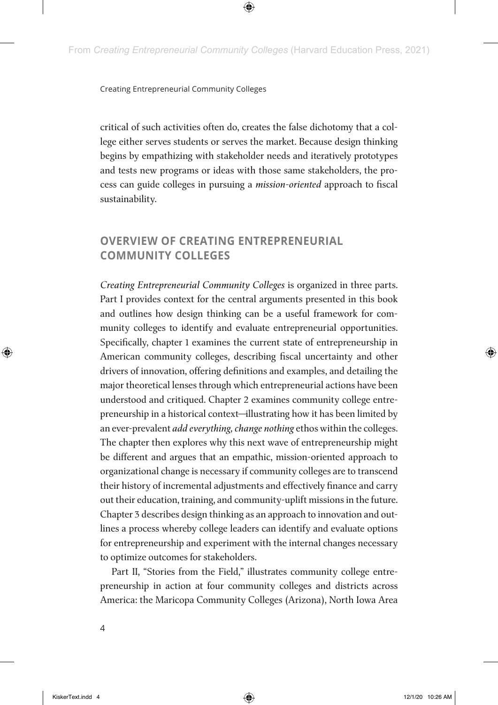critical of such activities often do, creates the false dichotomy that a college either serves students or serves the market. Because design thinking begins by empathizing with stakeholder needs and iteratively prototypes and tests new programs or ideas with those same stakeholders, the process can guide colleges in pursuing a *mission-oriented* approach to fiscal sustainability.

## **OVERVIEW OF CREATING ENTREPRENEURIAL COMMUNITY COLLEGES**

*Creating Entrepreneurial Community Colleges* is organized in three parts. Part I provides context for the central arguments presented in this book and outlines how design thinking can be a useful framework for community colleges to identify and evaluate entrepreneurial opportunities. Specifically, chapter 1 examines the current state of entrepreneurship in American community colleges, describing fiscal uncertainty and other drivers of innovation, offering definitions and examples, and detailing the major theoretical lenses through which entrepreneurial actions have been understood and critiqued. Chapter 2 examines community college entrepreneurship in a historical context—illustrating how it has been limited by an ever-prevalent *add everything, change nothing* ethos within the colleges. The chapter then explores why this next wave of entrepreneurship might be different and argues that an empathic, mission-oriented approach to organizational change is necessary if community colleges are to transcend their history of incremental adjustments and effectively finance and carry out their education, training, and community-uplift missions in the future. Chapter 3 describes design thinking as an approach to innovation and outlines a process whereby college leaders can identify and evaluate options for entrepreneurship and experiment with the internal changes necessary to optimize outcomes for stakeholders.

Part II, "Stories from the Field," illustrates community college entrepreneurship in action at four community colleges and districts across America: the Maricopa Community Colleges (Arizona), North Iowa Area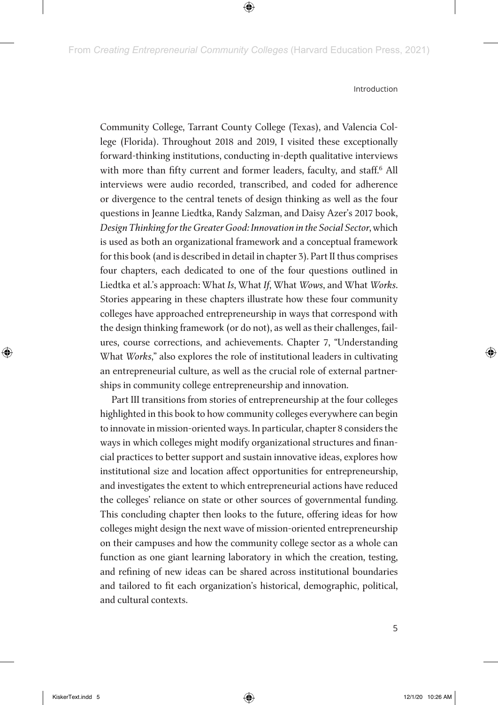Community College, Tarrant County College (Texas), and Valencia College (Florida). Throughout 2018 and 2019, I visited these exceptionally forward-thinking institutions, conducting in-depth qualitative interviews with more than fifty current and former leaders, faculty, and staff.<sup>6</sup> All interviews were audio recorded, transcribed, and coded for adherence or divergence to the central tenets of design thinking as well as the four questions in Jeanne Liedtka, Randy Salzman, and Daisy Azer's 2017 book, *Design Thinking for the Greater Good: Innovation in the Social Sector*, which is used as both an organizational framework and a conceptual framework for this book (and is described in detail in chapter 3)*.* Part II thus comprises four chapters, each dedicated to one of the four questions outlined in Liedtka et al.'s approach: What *Is*, What *If*, What *Wows*, and What *Works*. Stories appearing in these chapters illustrate how these four community colleges have approached entrepreneurship in ways that correspond with the design thinking framework (or do not), as well as their challenges, failures, course corrections, and achievements. Chapter 7, "Understanding What *Works*," also explores the role of institutional leaders in cultivating an entrepreneurial culture, as well as the crucial role of external partnerships in community college entrepreneurship and innovation.

Part III transitions from stories of entrepreneurship at the four colleges highlighted in this book to how community colleges everywhere can begin to innovate in mission-oriented ways. In particular, chapter 8 considers the ways in which colleges might modify organizational structures and financial practices to better support and sustain innovative ideas, explores how institutional size and location affect opportunities for entrepreneurship, and investigates the extent to which entrepreneurial actions have reduced the colleges' reliance on state or other sources of governmental funding. This concluding chapter then looks to the future, offering ideas for how colleges might design the next wave of mission-oriented entrepreneurship on their campuses and how the community college sector as a whole can function as one giant learning laboratory in which the creation, testing, and refining of new ideas can be shared across institutional boundaries and tailored to fit each organization's historical, demographic, political, and cultural contexts.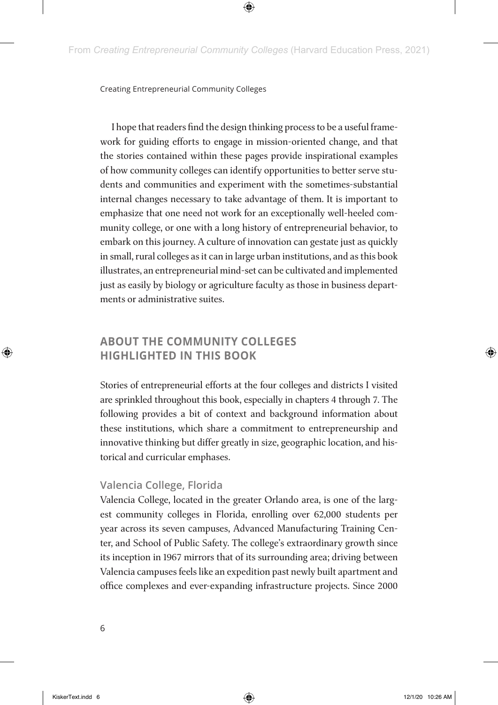I hope that readers find the design thinking process to be a useful framework for guiding efforts to engage in mission-oriented change, and that the stories contained within these pages provide inspirational examples of how community colleges can identify opportunities to better serve students and communities and experiment with the sometimes-substantial internal changes necessary to take advantage of them. It is important to emphasize that one need not work for an exceptionally well-heeled community college, or one with a long history of entrepreneurial behavior, to embark on this journey. A culture of innovation can gestate just as quickly in small, rural colleges as it can in large urban institutions, and as this book illustrates, an entrepreneurial mind-set can be cultivated and implemented just as easily by biology or agriculture faculty as those in business departments or administrative suites.

## **ABOUT THE COMMUNITY COLLEGES HIGHLIGHTED IN THIS BOOK**

Stories of entrepreneurial efforts at the four colleges and districts I visited are sprinkled throughout this book, especially in chapters 4 through 7. The following provides a bit of context and background information about these institutions, which share a commitment to entrepreneurship and innovative thinking but differ greatly in size, geographic location, and historical and curricular emphases.

## **Valencia College, Florida**

Valencia College, located in the greater Orlando area, is one of the largest community colleges in Florida, enrolling over 62,000 students per year across its seven campuses, Advanced Manufacturing Training Center, and School of Public Safety. The college's extraordinary growth since its inception in 1967 mirrors that of its surrounding area; driving between Valencia campuses feels like an expedition past newly built apartment and office complexes and ever-expanding infrastructure projects. Since 2000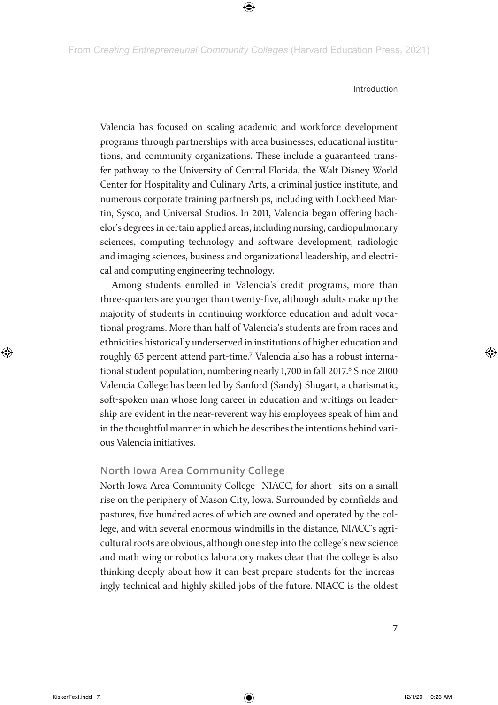Valencia has focused on scaling academic and workforce development programs through partnerships with area businesses, educational institutions, and community organizations. These include a guaranteed transfer pathway to the University of Central Florida, the Walt Disney World Center for Hospitality and Culinary Arts, a criminal justice institute, and numerous corporate training partnerships, including with Lockheed Martin, Sysco, and Universal Studios. In 2011, Valencia began offering bachelor's degrees in certain applied areas, including nursing, cardiopulmonary sciences, computing technology and software development, radiologic and imaging sciences, business and organizational leadership, and electrical and computing engineering technology.

Among students enrolled in Valencia's credit programs, more than three-quarters are younger than twenty-five, although adults make up the majority of students in continuing workforce education and adult vocational programs. More than half of Valencia's students are from races and ethnicities historically underserved in institutions of higher education and roughly 65 percent attend part-time.<sup>7</sup> Valencia also has a robust international student population, numbering nearly 1,700 in fall 2017.<sup>8</sup> Since 2000 Valencia College has been led by Sanford (Sandy) Shugart, a charismatic, soft-spoken man whose long career in education and writings on leadership are evident in the near-reverent way his employees speak of him and in the thoughtful manner in which he describes the intentions behind various Valencia initiatives.

## **North Iowa Area Community College**

North Iowa Area Community College—NIACC, for short—sits on a small rise on the periphery of Mason City, Iowa. Surrounded by cornfields and pastures, five hundred acres of which are owned and operated by the college, and with several enormous windmills in the distance, NIACC's agricultural roots are obvious, although one step into the college's new science and math wing or robotics laboratory makes clear that the college is also thinking deeply about how it can best prepare students for the increasingly technical and highly skilled jobs of the future. NIACC is the oldest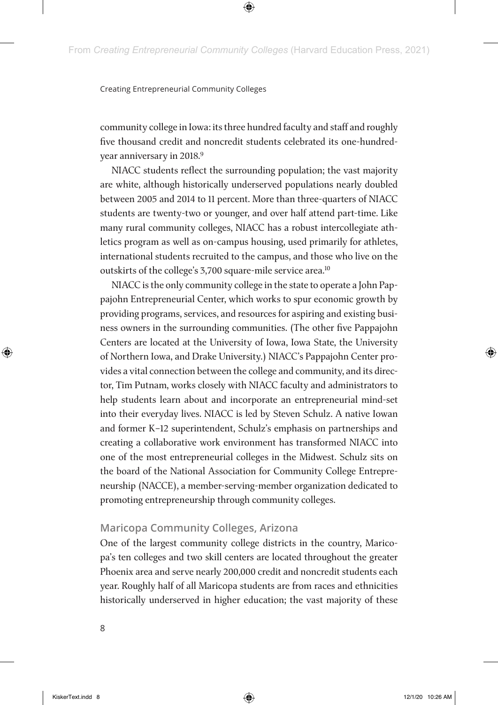community college in Iowa: its three hundred faculty and staff and roughly five thousand credit and noncredit students celebrated its one-hundredyear anniversary in 2018.<sup>9</sup>

NIACC students reflect the surrounding population; the vast majority are white, although historically underserved populations nearly doubled between 2005 and 2014 to 11 percent. More than three-quarters of NIACC students are twenty-two or younger, and over half attend part-time. Like many rural community colleges, NIACC has a robust intercollegiate athletics program as well as on-campus housing, used primarily for athletes, international students recruited to the campus, and those who live on the outskirts of the college's 3,700 square-mile service area.10

NIACC is the only community college in the state to operate a John Pappajohn Entrepreneurial Center, which works to spur economic growth by providing programs, services, and resources for aspiring and existing business owners in the surrounding communities. (The other five Pappajohn Centers are located at the University of Iowa, Iowa State, the University of Northern Iowa, and Drake University.) NIACC's Pappajohn Center provides a vital connection between the college and community, and its director, Tim Putnam, works closely with NIACC faculty and administrators to help students learn about and incorporate an entrepreneurial mind-set into their everyday lives. NIACC is led by Steven Schulz. A native Iowan and former K–12 superintendent, Schulz's emphasis on partnerships and creating a collaborative work environment has transformed NIACC into one of the most entrepreneurial colleges in the Midwest. Schulz sits on the board of the National Association for Community College Entrepreneurship (NACCE), a member-serving-member organization dedicated to promoting entrepreneurship through community colleges.

## **Maricopa Community Colleges, Arizona**

One of the largest community college districts in the country, Maricopa's ten colleges and two skill centers are located throughout the greater Phoenix area and serve nearly 200,000 credit and noncredit students each year. Roughly half of all Maricopa students are from races and ethnicities historically underserved in higher education; the vast majority of these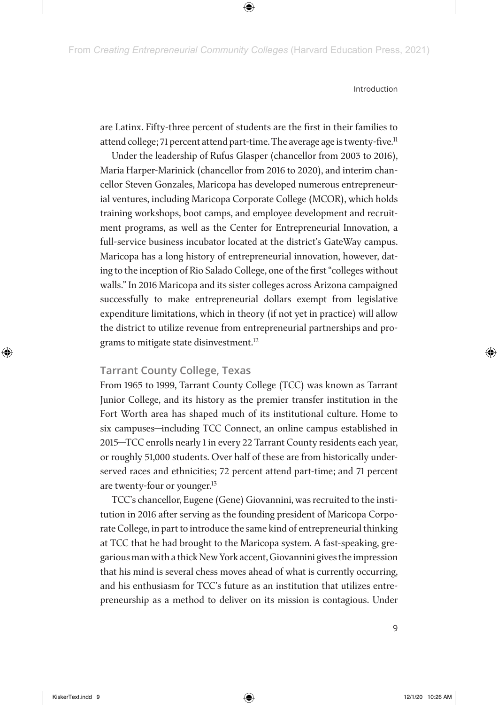are Latinx. Fifty-three percent of students are the first in their families to attend college; 71 percent attend part-time. The average age is twenty-five.<sup>11</sup>

Under the leadership of Rufus Glasper (chancellor from 2003 to 2016), Maria Harper-Marinick (chancellor from 2016 to 2020), and interim chancellor Steven Gonzales, Maricopa has developed numerous entrepreneurial ventures, including Maricopa Corporate College (MCOR), which holds training workshops, boot camps, and employee development and recruitment programs, as well as the Center for Entrepreneurial Innovation, a full-service business incubator located at the district's GateWay campus. Maricopa has a long history of entrepreneurial innovation, however, dating to the inception of Rio Salado College, one of the first "colleges without walls." In 2016 Maricopa and its sister colleges across Arizona campaigned successfully to make entrepreneurial dollars exempt from legislative expenditure limitations, which in theory (if not yet in practice) will allow the district to utilize revenue from entrepreneurial partnerships and programs to mitigate state disinvestment.12

### **Tarrant County College, Texas**

From 1965 to 1999, Tarrant County College (TCC) was known as Tarrant Junior College, and its history as the premier transfer institution in the Fort Worth area has shaped much of its institutional culture. Home to six campuses—including TCC Connect, an online campus established in 2015—TCC enrolls nearly 1 in every 22 Tarrant County residents each year, or roughly 51,000 students. Over half of these are from historically underserved races and ethnicities; 72 percent attend part-time; and 71 percent are twenty-four or younger.13

TCC's chancellor, Eugene (Gene) Giovannini, was recruited to the institution in 2016 after serving as the founding president of Maricopa Corporate College, in part to introduce the same kind of entrepreneurial thinking at TCC that he had brought to the Maricopa system. A fast-speaking, gregarious man with a thick New York accent, Giovannini gives the impression that his mind is several chess moves ahead of what is currently occurring, and his enthusiasm for TCC's future as an institution that utilizes entrepreneurship as a method to deliver on its mission is contagious. Under